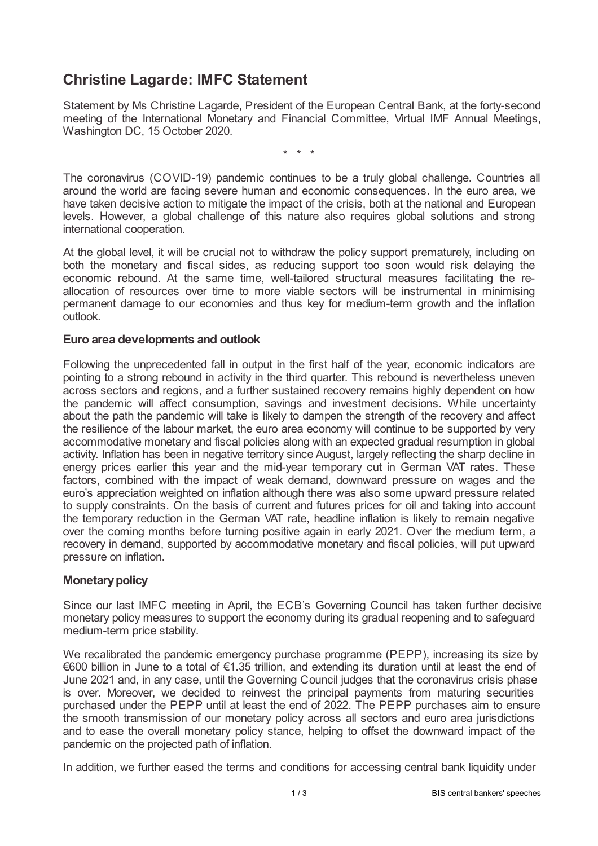# **Christine Lagarde: IMFC Statement**

Statement by Ms Christine Lagarde, President of the European Central Bank, at the forty-second meeting of the International Monetary and Financial Committee, Virtual IMF Annual Meetings, Washington DC, 15 October 2020.

\* \* \*

The coronavirus (COVID-19) pandemic continues to be a truly global challenge. Countries all around the world are facing severe human and economic consequences. In the euro area, we have taken decisive action to mitigate the impact of the crisis, both at the national and European levels. However, a global challenge of this nature also requires global solutions and strong international cooperation.

At the global level, it will be crucial not to withdraw the policy support prematurely, including on both the monetary and fiscal sides, as reducing support too soon would risk delaying the economic rebound. At the same time, well-tailored structural measures facilitating the reallocation of resources over time to more viable sectors will be instrumental in minimising permanent damage to our economies and thus key for medium-term growth and the inflation outlook.

## **Euro area developments and outlook**

Following the unprecedented fall in output in the first half of the year, economic indicators are pointing to a strong rebound in activity in the third quarter. This rebound is nevertheless uneven across sectors and regions, and a further sustained recovery remains highly dependent on how the pandemic will affect consumption, savings and investment decisions. While uncertainty about the path the pandemic will take is likely to dampen the strength of the recovery and affect the resilience of the labour market, the euro area economy will continue to be supported by very accommodative monetary and fiscal policies along with an expected gradual resumption in global activity. Inflation has been in negative territory since August, largely reflecting the sharp decline in energy prices earlier this year and the mid-year temporary cut in German VAT rates. These factors, combined with the impact of weak demand, downward pressure on wages and the euro's appreciation weighted on inflation although there was also some upward pressure related to supply constraints. On the basis of current and futures prices for oil and taking into account the temporary reduction in the German VAT rate, headline inflation is likely to remain negative over the coming months before turning positive again in early 2021. Over the medium term, a recovery in demand, supported by accommodative monetary and fiscal policies, will put upward pressure on inflation.

## **Monetary policy**

Since our last IMFC meeting in April, the ECB's Governing Council has taken further decisive monetary policy measures to support the economy during its gradual reopening and to safeguard medium-term price stability.

We recalibrated the pandemic emergency purchase programme (PEPP), increasing its size by €600 billion in June to a total of €1.35 trillion, and extending its duration until at least the end of June 2021 and, in any case, until the Governing Council judges that the coronavirus crisis phase is over. Moreover, we decided to reinvest the principal payments from maturing securities purchased under the PEPP until at least the end of 2022. The PEPP purchases aim to ensure the smooth transmission of our monetary policy across all sectors and euro area jurisdictions and to ease the overall monetary policy stance, helping to offset the downward impact of the pandemic on the projected path of inflation.

In addition, we further eased the terms and conditions for accessing central bank liquidity under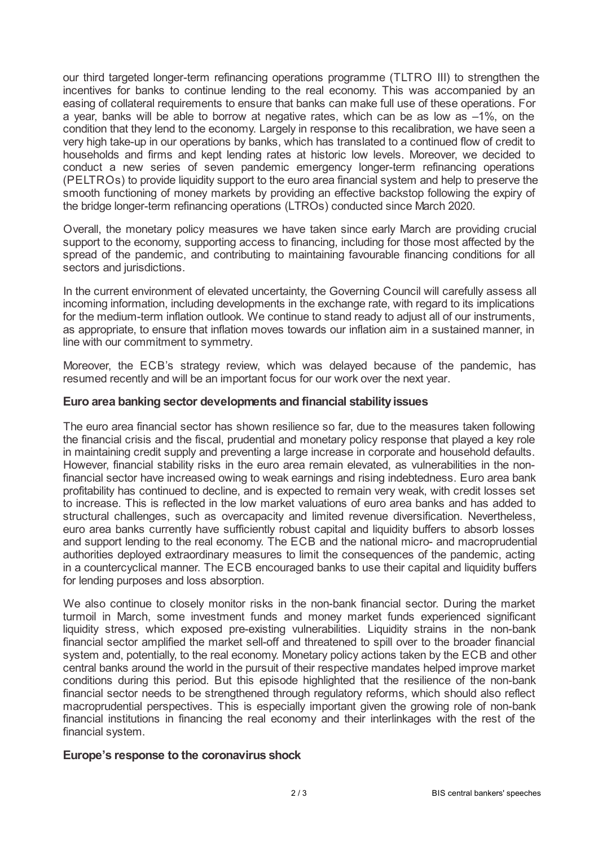our third targeted longer-term refinancing operations programme (TLTRO III) to strengthen the incentives for banks to continue lending to the real economy. This was accompanied by an easing of collateral requirements to ensure that banks can make full use of these operations. For a year, banks will be able to borrow at negative rates, which can be as low as –1%, on the condition that they lend to the economy. Largely in response to this recalibration, we have seen a very high take-up in our operations by banks, which has translated to a continued flow of credit to households and firms and kept lending rates at historic low levels. Moreover, we decided to conduct a new series of seven pandemic emergency longer-term refinancing operations (PELTROs) to provide liquidity support to the euro area financial system and help to preserve the smooth functioning of money markets by providing an effective backstop following the expiry of the bridge longer-term refinancing operations (LTROs) conducted since March 2020.

Overall, the monetary policy measures we have taken since early March are providing crucial support to the economy, supporting access to financing, including for those most affected by the spread of the pandemic, and contributing to maintaining favourable financing conditions for all sectors and jurisdictions.

In the current environment of elevated uncertainty, the Governing Council will carefully assess all incoming information, including developments in the exchange rate, with regard to its implications for the medium-term inflation outlook. We continue to stand ready to adjust all of our instruments, as appropriate, to ensure that inflation moves towards our inflation aim in a sustained manner, in line with our commitment to symmetry.

Moreover, the ECB's strategy review, which was delayed because of the pandemic, has resumed recently and will be an important focus for our work over the next year.

## **Euro area banking sector developments and financial stabilityissues**

The euro area financial sector has shown resilience so far, due to the measures taken following the financial crisis and the fiscal, prudential and monetary policy response that played a key role in maintaining credit supply and preventing a large increase in corporate and household defaults. However, financial stability risks in the euro area remain elevated, as vulnerabilities in the nonfinancial sector have increased owing to weak earnings and rising indebtedness. Euro area bank profitability has continued to decline, and is expected to remain very weak, with credit losses set to increase. This is reflected in the low market valuations of euro area banks and has added to structural challenges, such as overcapacity and limited revenue diversification. Nevertheless, euro area banks currently have sufficiently robust capital and liquidity buffers to absorb losses and support lending to the real economy. The ECB and the national micro- and macroprudential authorities deployed extraordinary measures to limit the consequences of the pandemic, acting in a countercyclical manner. The ECB encouraged banks to use their capital and liquidity buffers for lending purposes and loss absorption.

We also continue to closely monitor risks in the non-bank financial sector. During the market turmoil in March, some investment funds and money market funds experienced significant liquidity stress, which exposed pre-existing vulnerabilities. Liquidity strains in the non-bank financial sector amplified the market sell-off and threatened to spill over to the broader financial system and, potentially, to the real economy. Monetary policy actions taken by the ECB and other central banks around the world in the pursuit of their respective mandates helped improve market conditions during this period. But this episode highlighted that the resilience of the non-bank financial sector needs to be strengthened through regulatory reforms, which should also reflect macroprudential perspectives. This is especially important given the growing role of non-bank financial institutions in financing the real economy and their interlinkages with the rest of the financial system.

## **Europe's response to the coronavirus shock**